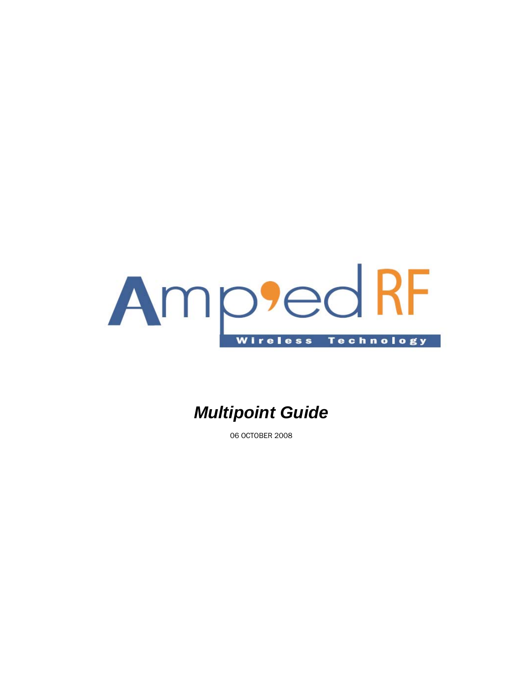

# *Multipoint Guide*

06 OCTOBER 2008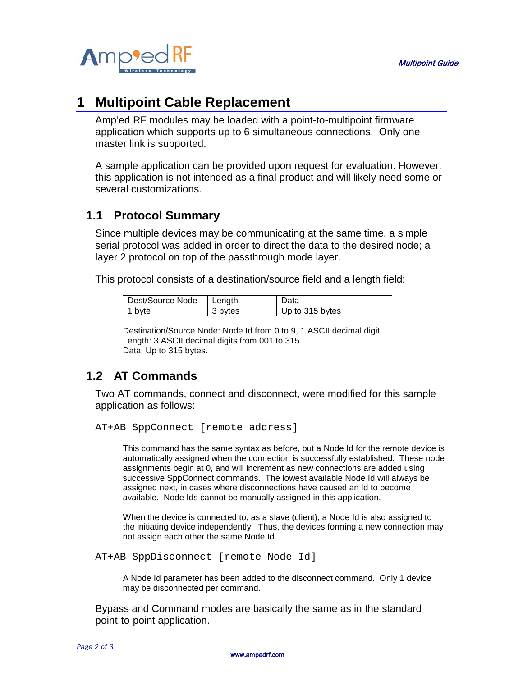

## **1 Multipoint Cable Replacement**

Amp'ed RF modules may be loaded with a point-to-multipoint firmware application which supports up to 6 simultaneous connections. Only one master link is supported.

A sample application can be provided upon request for evaluation. However, this application is not intended as a final product and will likely need some or several customizations.

#### **1.1 Protocol Summary**

Since multiple devices may be communicating at the same time, a simple serial protocol was added in order to direct the data to the desired node; a layer 2 protocol on top of the passthrough mode layer.

This protocol consists of a destination/source field and a length field:

| Dest/Source Node | l Length | Data            |
|------------------|----------|-----------------|
| 1 byte           | 3 bytes  | Up to 315 bytes |

Destination/Source Node: Node Id from 0 to 9, 1 ASCII decimal digit. Length: 3 ASCII decimal digits from 001 to 315. Data: Up to 315 bytes.

#### **1.2 AT Commands**

Two AT commands, connect and disconnect, were modified for this sample application as follows:

```
AT+AB SppConnect [remote address]
```
This command has the same syntax as before, but a Node Id for the remote device is automatically assigned when the connection is successfully established. These node assignments begin at 0, and will increment as new connections are added using successive SppConnect commands. The lowest available Node Id will always be assigned next, in cases where disconnections have caused an Id to become available. Node Ids cannot be manually assigned in this application.

When the device is connected to, as a slave (client), a Node Id is also assigned to the initiating device independently. Thus, the devices forming a new connection may not assign each other the same Node Id.

```
AT+AB SppDisconnect [remote Node Id]
```
A Node Id parameter has been added to the disconnect command. Only 1 device may be disconnected per command.

Bypass and Command modes are basically the same as in the standard point-to-point application.